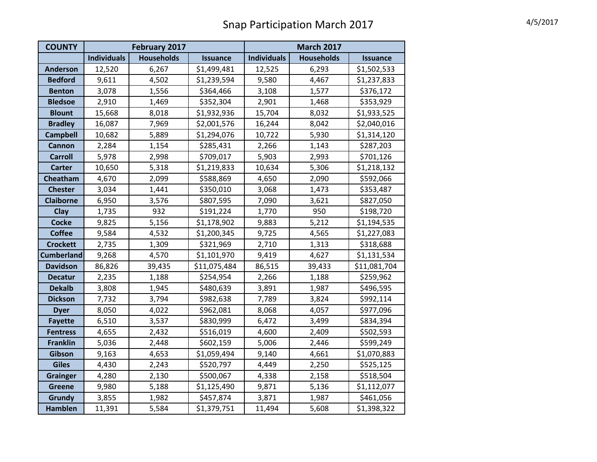## Snap Participation March 2017 4/5/2017

| <b>COUNTY</b>     | February 2017      |                   |                 | <b>March 2017</b>  |                   |                 |
|-------------------|--------------------|-------------------|-----------------|--------------------|-------------------|-----------------|
|                   | <b>Individuals</b> | <b>Households</b> | <b>Issuance</b> | <b>Individuals</b> | <b>Households</b> | <b>Issuance</b> |
| <b>Anderson</b>   | 12,520             | 6,267             | \$1,499,481     | 12,525             | 6,293             | \$1,502,533     |
| <b>Bedford</b>    | 9,611              | 4,502             | \$1,239,594     | 9,580              | 4,467             | \$1,237,833     |
| <b>Benton</b>     | 3,078              | 1,556             | \$364,466       | 3,108              | 1,577             | \$376,172       |
| <b>Bledsoe</b>    | 2,910              | 1,469             | \$352,304       | 2,901              | 1,468             | \$353,929       |
| <b>Blount</b>     | 15,668             | 8,018             | \$1,932,936     | 15,704             | 8,032             | \$1,933,525     |
| <b>Bradley</b>    | 16,087             | 7,969             | \$2,001,576     | 16,244             | 8,042             | \$2,040,016     |
| <b>Campbell</b>   | 10,682             | 5,889             | \$1,294,076     | 10,722             | 5,930             | \$1,314,120     |
| <b>Cannon</b>     | 2,284              | 1,154             | \$285,431       | 2,266              | 1,143             | \$287,203       |
| <b>Carroll</b>    | 5,978              | 2,998             | \$709,017       | 5,903              | 2,993             | \$701,126       |
| <b>Carter</b>     | 10,650             | 5,318             | \$1,219,833     | 10,634             | 5,306             | \$1,218,132     |
| Cheatham          | 4,670              | 2,099             | \$588,869       | 4,650              | 2,090             | \$592,066       |
| <b>Chester</b>    | 3,034              | 1,441             | \$350,010       | 3,068              | 1,473             | \$353,487       |
| <b>Claiborne</b>  | 6,950              | 3,576             | \$807,595       | 7,090              | 3,621             | \$827,050       |
| <b>Clay</b>       | 1,735              | 932               | \$191,224       | 1,770              | 950               | \$198,720       |
| <b>Cocke</b>      | 9,825              | 5,156             | \$1,178,902     | 9,883              | 5,212             | \$1,194,535     |
| <b>Coffee</b>     | 9,584              | 4,532             | \$1,200,345     | 9,725              | 4,565             | \$1,227,083     |
| <b>Crockett</b>   | 2,735              | 1,309             | \$321,969       | 2,710              | 1,313             | \$318,688       |
| <b>Cumberland</b> | 9,268              | 4,570             | \$1,101,970     | 9,419              | 4,627             | \$1,131,534     |
| <b>Davidson</b>   | 86,826             | 39,435            | \$11,075,484    | 86,515             | 39,433            | \$11,081,704    |
| <b>Decatur</b>    | 2,235              | 1,188             | \$254,954       | 2,266              | 1,188             | \$259,962       |
| <b>Dekalb</b>     | 3,808              | 1,945             | \$480,639       | 3,891              | 1,987             | \$496,595       |
| <b>Dickson</b>    | 7,732              | 3,794             | \$982,638       | 7,789              | 3,824             | \$992,114       |
| <b>Dyer</b>       | 8,050              | 4,022             | \$962,081       | 8,068              | 4,057             | \$977,096       |
| <b>Fayette</b>    | 6,510              | 3,537             | \$830,999       | 6,472              | 3,499             | \$834,394       |
| <b>Fentress</b>   | 4,655              | 2,432             | \$516,019       | 4,600              | 2,409             | \$502,593       |
| <b>Franklin</b>   | 5,036              | 2,448             | \$602,159       | 5,006              | 2,446             | \$599,249       |
| Gibson            | 9,163              | 4,653             | \$1,059,494     | 9,140              | 4,661             | \$1,070,883     |
| <b>Giles</b>      | 4,430              | 2,243             | \$520,797       | 4,449              | 2,250             | \$525,125       |
| <b>Grainger</b>   | 4,280              | 2,130             | \$500,067       | 4,338              | 2,158             | \$518,504       |
| <b>Greene</b>     | 9,980              | 5,188             | \$1,125,490     | 9,871              | 5,136             | \$1,112,077     |
| <b>Grundy</b>     | 3,855              | 1,982             | \$457,874       | 3,871              | 1,987             | \$461,056       |
| <b>Hamblen</b>    | 11,391             | 5,584             | \$1,379,751     | 11,494             | 5,608             | \$1,398,322     |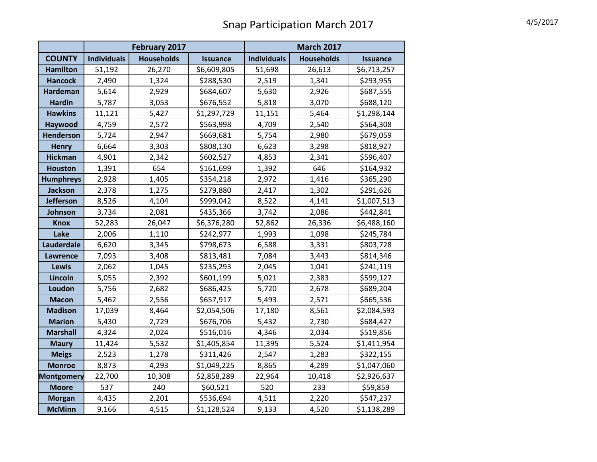## Snap Participation March 2017 4/5/2017

|                   | February 2017      |                   |                 | <b>March 2017</b>  |                   |                 |
|-------------------|--------------------|-------------------|-----------------|--------------------|-------------------|-----------------|
| <b>COUNTY</b>     | <b>Individuals</b> | <b>Households</b> | <b>Issuance</b> | <b>Individuals</b> | <b>Households</b> | <b>Issuance</b> |
| <b>Hamilton</b>   | 51,192             | 26,270            | \$6,609,805     | 51,698             | 26,613            | \$6,713,257     |
| <b>Hancock</b>    | 2,490              | 1,324             | \$288,530       | 2,519              | 1,341             | \$293,955       |
| <b>Hardeman</b>   | 5,614              | 2,929             | \$684,607       | 5,630              | 2,926             | \$687,555       |
| <b>Hardin</b>     | 5,787              | 3,053             | \$676,552       | 5,818              | 3,070             | \$688,120       |
| <b>Hawkins</b>    | 11,121             | 5,427             | \$1,297,729     | 11,151             | 5,464             | \$1,298,144     |
| Haywood           | 4,759              | 2,572             | \$563,998       | 4,709              | 2,540             | \$564,308       |
| Henderson         | 5,724              | 2,947             | \$669,681       | 5,754              | 2,980             | \$679,059       |
| <b>Henry</b>      | 6,664              | 3,303             | \$808,130       | 6,623              | 3,298             | \$818,927       |
| <b>Hickman</b>    | 4,901              | 2,342             | \$602,527       | 4,853              | 2,341             | \$596,407       |
| <b>Houston</b>    | 1,391              | 654               | \$161,699       | 1,392              | 646               | \$164,932       |
| <b>Humphreys</b>  | 2,928              | 1,405             | \$354,218       | 2,972              | 1,416             | \$365,290       |
| <b>Jackson</b>    | 2,378              | 1,275             | \$279,880       | 2,417              | 1,302             | \$291,626       |
| <b>Jefferson</b>  | 8,526              | 4,104             | \$999,042       | 8,522              | 4,141             | \$1,007,513     |
| Johnson           | 3,734              | 2,081             | \$435,366       | 3,742              | 2,086             | \$442,841       |
| <b>Knox</b>       | 52,283             | 26,047            | \$6,376,280     | 52,862             | 26,336            | \$6,488,160     |
| Lake              | 2,006              | 1,110             | \$242,977       | 1,993              | 1,098             | \$245,784       |
| <b>Lauderdale</b> | 6,620              | 3,345             | \$798,673       | 6,588              | 3,331             | \$803,728       |
| Lawrence          | 7,093              | 3,408             | \$813,481       | 7,084              | 3,443             | \$814,346       |
| <b>Lewis</b>      | 2,062              | 1,045             | \$235,293       | 2,045              | 1,041             | \$241,119       |
| Lincoln           | 5,055              | 2,392             | \$601,199       | 5,021              | 2,383             | \$599,127       |
| Loudon            | 5,756              | 2,682             | \$686,425       | 5,720              | 2,678             | \$689,204       |
| <b>Macon</b>      | 5,462              | 2,556             | \$657,917       | 5,493              | 2,571             | \$665,536       |
| <b>Madison</b>    | 17,039             | 8,464             | \$2,054,506     | 17,180             | 8,561             | \$2,084,593     |
| <b>Marion</b>     | 5,430              | 2,729             | \$676,706       | 5,432              | 2,730             | \$684,427       |
| <b>Marshall</b>   | 4,324              | 2,024             | \$516,016       | 4,346              | 2,034             | \$519,856       |
| <b>Maury</b>      | 11,424             | 5,532             | \$1,405,854     | 11,395             | 5,524             | \$1,411,954     |
| <b>Meigs</b>      | 2,523              | 1,278             | \$311,426       | 2,547              | 1,283             | \$322,155       |
| <b>Monroe</b>     | 8,873              | 4,293             | \$1,049,225     | 8,865              | 4,289             | \$1,047,060     |
| <b>Montgomery</b> | 22,700             | 10,308            | \$2,858,289     | 22,964             | 10,418            | \$2,926,637     |
| <b>Moore</b>      | 537                | 240               | \$60,521        | 520                | 233               | \$59,859        |
| <b>Morgan</b>     | 4,435              | 2,201             | \$536,694       | 4,511              | 2,220             | \$547,237       |
| <b>McMinn</b>     | 9,166              | 4,515             | \$1,128,524     | 9,133              | 4,520             | \$1,138,289     |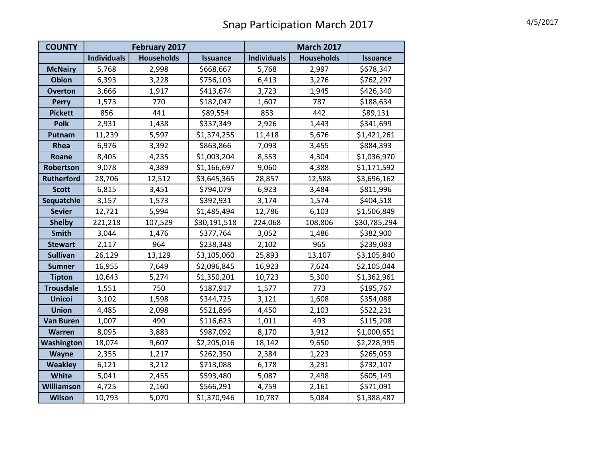## Snap Participation March 2017 4/5/2017

| <b>COUNTY</b>     | February 2017      |                   |                 | <b>March 2017</b>  |                   |                 |
|-------------------|--------------------|-------------------|-----------------|--------------------|-------------------|-----------------|
|                   | <b>Individuals</b> | <b>Households</b> | <b>Issuance</b> | <b>Individuals</b> | <b>Households</b> | <b>Issuance</b> |
| <b>McNairy</b>    | 5,768              | 2,998             | \$668,667       | 5,768              | 2,997             | \$678,347       |
| <b>Obion</b>      | 6,393              | 3,228             | \$756,103       | 6,413              | 3,276             | \$762,297       |
| <b>Overton</b>    | 3,666              | 1,917             | \$413,674       | 3,723              | 1,945             | \$426,340       |
| <b>Perry</b>      | 1,573              | 770               | \$182,047       | 1,607              | 787               | \$188,634       |
| <b>Pickett</b>    | 856                | 441               | \$89,554        | 853                | 442               | \$89,131        |
| <b>Polk</b>       | 2,931              | 1,438             | \$337,349       | 2,926              | 1,443             | \$341,699       |
| Putnam            | 11,239             | 5,597             | \$1,374,255     | 11,418             | 5,676             | \$1,421,261     |
| Rhea              | 6,976              | 3,392             | \$863,866       | 7,093              | 3,455             | \$884,393       |
| Roane             | 8,405              | 4,235             | \$1,003,204     | 8,553              | 4,304             | \$1,036,970     |
| Robertson         | 9,078              | 4,389             | \$1,166,697     | 9,060              | 4,388             | \$1,171,592     |
| <b>Rutherford</b> | 28,706             | 12,512            | \$3,645,365     | 28,857             | 12,588            | \$3,696,162     |
| <b>Scott</b>      | 6,815              | 3,451             | \$794,079       | 6,923              | 3,484             | \$811,996       |
| Sequatchie        | 3,157              | 1,573             | \$392,931       | 3,174              | 1,574             | \$404,518       |
| <b>Sevier</b>     | 12,721             | 5,994             | \$1,485,494     | 12,786             | 6,103             | \$1,506,849     |
| <b>Shelby</b>     | 221,218            | 107,529           | \$30,191,518    | 224,068            | 108,806           | \$30,785,294    |
| <b>Smith</b>      | 3,044              | 1,476             | \$377,764       | 3,052              | 1,486             | \$382,900       |
| <b>Stewart</b>    | 2,117              | 964               | \$238,348       | 2,102              | 965               | \$239,083       |
| <b>Sullivan</b>   | 26,129             | 13,129            | \$3,105,060     | 25,893             | 13,107            | \$3,105,840     |
| <b>Sumner</b>     | 16,955             | 7,649             | \$2,096,845     | 16,923             | 7,624             | \$2,105,044     |
| <b>Tipton</b>     | 10,643             | 5,274             | \$1,350,201     | 10,723             | 5,300             | \$1,362,961     |
| <b>Trousdale</b>  | 1,551              | 750               | \$187,917       | 1,577              | 773               | \$195,767       |
| <b>Unicoi</b>     | 3,102              | 1,598             | \$344,725       | 3,121              | 1,608             | \$354,088       |
| <b>Union</b>      | 4,485              | 2,098             | \$521,896       | 4,450              | 2,103             | \$522,231       |
| <b>Van Buren</b>  | 1,007              | 490               | \$116,623       | 1,011              | 493               | \$115,208       |
| Warren            | 8,095              | 3,883             | \$987,092       | 8,170              | 3,912             | \$1,000,651     |
| Washington        | 18,074             | 9,607             | \$2,205,016     | 18,142             | 9,650             | \$2,228,995     |
| <b>Wayne</b>      | 2,355              | 1,217             | \$262,350       | 2,384              | 1,223             | \$265,059       |
| <b>Weakley</b>    | 6,121              | 3,212             | \$713,088       | 6,178              | 3,231             | \$732,107       |
| White             | 5,041              | 2,455             | \$593,480       | 5,087              | 2,498             | \$605,149       |
| Williamson        | 4,725              | 2,160             | \$566,291       | 4,759              | 2,161             | \$571,091       |
| <b>Wilson</b>     | 10,793             | 5,070             | \$1,370,946     | 10,787             | 5,084             | \$1,388,487     |